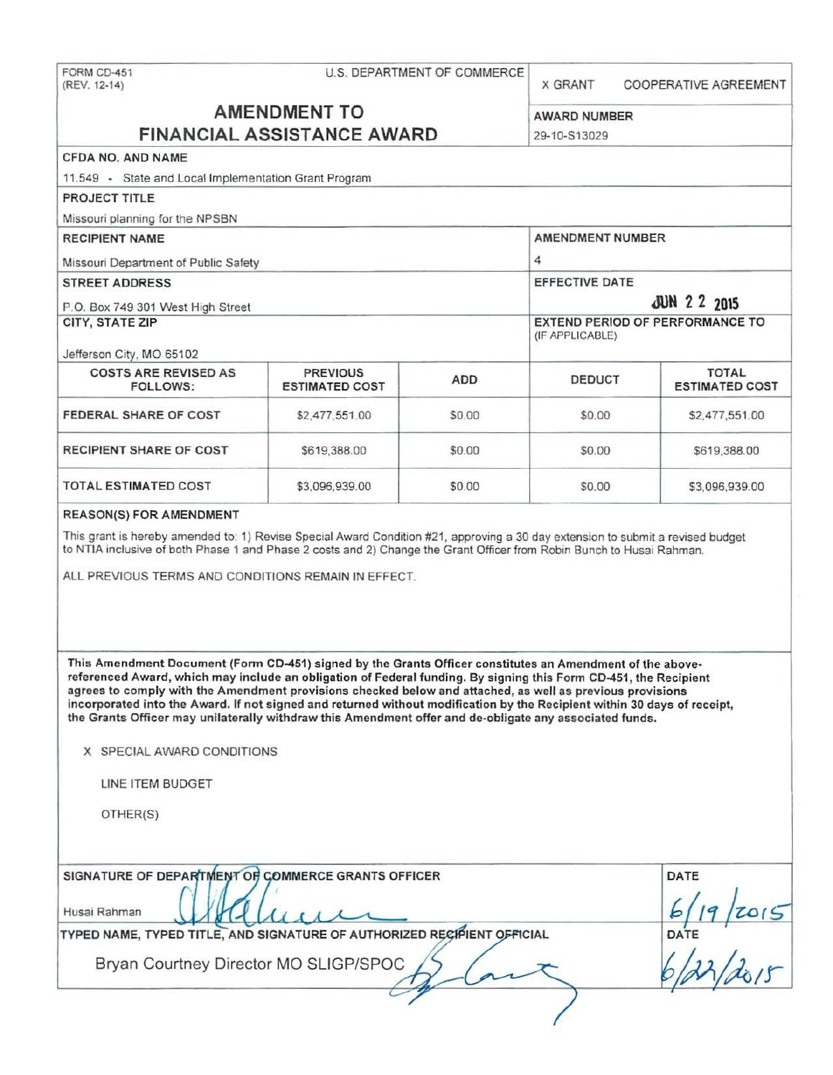X GRANT COOPERATIVE AGREEMENT

# **AMENDMENT TO** AWARD NUMBER **FINANCIAL ASSISTANCE AWARD** 29-10-S13029

| 11.549 - State and Local Implementation Grant Program                                                                                                                                                                                                                                                                                                                                                                                                                                                                                                                             |                                          |                                              |        |                                       |
|-----------------------------------------------------------------------------------------------------------------------------------------------------------------------------------------------------------------------------------------------------------------------------------------------------------------------------------------------------------------------------------------------------------------------------------------------------------------------------------------------------------------------------------------------------------------------------------|------------------------------------------|----------------------------------------------|--------|---------------------------------------|
|                                                                                                                                                                                                                                                                                                                                                                                                                                                                                                                                                                                   |                                          |                                              |        |                                       |
| PROJECT TITLE                                                                                                                                                                                                                                                                                                                                                                                                                                                                                                                                                                     |                                          |                                              |        |                                       |
| Missouri planning for the NPSBN                                                                                                                                                                                                                                                                                                                                                                                                                                                                                                                                                   |                                          |                                              |        |                                       |
| <b>RECIPIENT NAME</b>                                                                                                                                                                                                                                                                                                                                                                                                                                                                                                                                                             |                                          | AMENDMENT NUMBER                             |        |                                       |
| Missouri Department of Public Safety<br><b>STREET ADDRESS</b><br>P.O. Box 749 301 West High Street<br>CITY, STATE ZIP                                                                                                                                                                                                                                                                                                                                                                                                                                                             |                                          | 4                                            |        |                                       |
|                                                                                                                                                                                                                                                                                                                                                                                                                                                                                                                                                                                   |                                          | <b>EFFECTIVE DATE</b><br><b>JUN 2 2 2015</b> |        |                                       |
|                                                                                                                                                                                                                                                                                                                                                                                                                                                                                                                                                                                   |                                          |                                              |        |                                       |
|                                                                                                                                                                                                                                                                                                                                                                                                                                                                                                                                                                                   |                                          | Jefferson City, MO 65102                     |        |                                       |
| <b>COSTS ARE REVISED AS</b><br>FOLLOWS:                                                                                                                                                                                                                                                                                                                                                                                                                                                                                                                                           | <b>PREVIOUS</b><br><b>ESTIMATED COST</b> | <b>ADD</b>                                   | DEDUCT | <b>TOTAL</b><br><b>ESTIMATED COST</b> |
| FEDERAL SHARE OF COST                                                                                                                                                                                                                                                                                                                                                                                                                                                                                                                                                             | \$2,477,551.00                           | \$0.00                                       | \$0.00 | \$2,477,551.00                        |
| <b>RECIPIENT SHARE OF COST</b>                                                                                                                                                                                                                                                                                                                                                                                                                                                                                                                                                    | \$619,388.00                             | \$0.00                                       | \$0.00 | \$619,388.00                          |
| <b>TOTAL ESTIMATED COST</b>                                                                                                                                                                                                                                                                                                                                                                                                                                                                                                                                                       | \$3,096,939.00                           | \$0.00                                       | \$0.00 | \$3,096,939.00                        |
| <b>REASON(S) FOR AMENDMENT</b>                                                                                                                                                                                                                                                                                                                                                                                                                                                                                                                                                    |                                          |                                              |        |                                       |
| This Amendment Document (Form CD-451) signed by the Grants Officer constitutes an Amendment of the above-<br>referenced Award, which may include an obligation of Federal funding. By signing this Form CD-451, the Recipient<br>agrees to comply with the Amendment provisions checked below and attached, as well as previous provisions<br>incorporated into the Award. If not signed and returned without modification by the Recipient within 30 days of receipt,<br>the Grants Officer may unilaterally withdraw this Amendment offer and de-obligate any associated funds. |                                          |                                              |        |                                       |
| X SPECIAL AWARD CONDITIONS<br>LINE ITEM BUDGET<br>OTHER(S)                                                                                                                                                                                                                                                                                                                                                                                                                                                                                                                        |                                          |                                              |        |                                       |